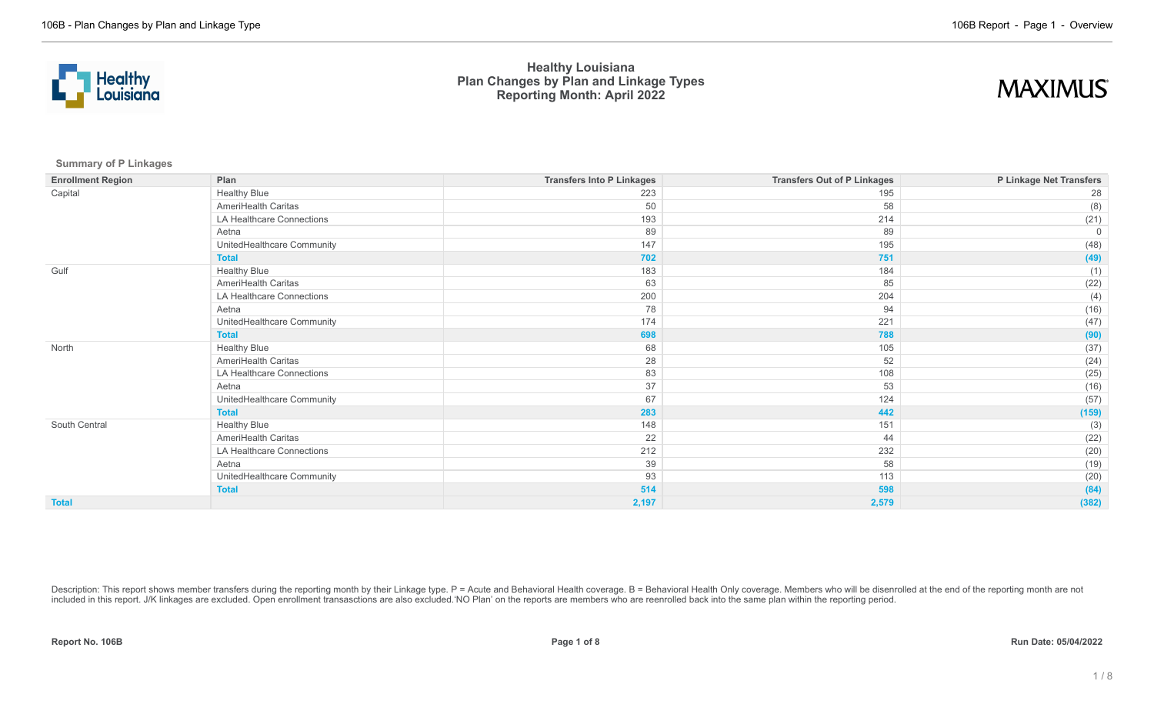



**Summary of P Linkages**

| <b>Enrollment Region</b> | Plan                       | <b>Transfers Into P Linkages</b> | <b>Transfers Out of P Linkages</b> | P Linkage Net Transfers |
|--------------------------|----------------------------|----------------------------------|------------------------------------|-------------------------|
| Capital                  | <b>Healthy Blue</b>        | 223                              | 195                                | 28                      |
|                          | AmeriHealth Caritas        | 50                               | 58                                 | (8)                     |
|                          | LA Healthcare Connections  | 193                              | 214                                | (21)                    |
|                          | Aetna                      | 89                               | 89                                 | 0                       |
|                          | UnitedHealthcare Community | 147                              | 195                                | (48)                    |
|                          | <b>Total</b>               | 702                              | 751                                | (49)                    |
| Gulf                     | <b>Healthy Blue</b>        | 183                              | 184                                | (1)                     |
|                          | AmeriHealth Caritas        | 63                               | 85                                 | (22)                    |
|                          | LA Healthcare Connections  | 200                              | 204                                | (4)                     |
|                          | Aetna                      | 78                               | 94                                 | (16)                    |
|                          | UnitedHealthcare Community | 174                              | 221                                | (47)                    |
|                          | <b>Total</b>               | 698                              | 788                                | (90)                    |
| North                    | <b>Healthy Blue</b>        | 68                               | 105                                | (37)                    |
|                          | AmeriHealth Caritas        | 28                               | 52                                 | (24)                    |
|                          | LA Healthcare Connections  | 83                               | 108                                | (25)                    |
|                          | Aetna                      | 37                               | 53                                 | (16)                    |
|                          | UnitedHealthcare Community | 67                               | 124                                | (57)                    |
|                          | <b>Total</b>               | 283                              | 442                                | (159)                   |
| South Central            | <b>Healthy Blue</b>        | 148                              | 151                                | (3)                     |
|                          | AmeriHealth Caritas        | 22                               | 44                                 | (22)                    |
|                          | LA Healthcare Connections  | 212                              | 232                                | (20)                    |
|                          | Aetna                      | 39                               | 58                                 | (19)                    |
|                          | UnitedHealthcare Community | 93                               | 113                                | (20)                    |
|                          | <b>Total</b>               | 514                              | 598                                | (84)                    |
| <b>Total</b>             |                            | 2,197                            | 2,579                              | (382)                   |

Description: This report shows member transfers during the reporting month by their Linkage type. P = Acute and Behavioral Health coverage. B = Behavioral Health Only coverage. Members who will be disenrolled at the end of included in this report. J/K linkages are excluded. Open enrollment transasctions are also excluded.'NO Plan' on the reports are members who are reenrolled back into the same plan within the reporting period.

**Report No. 106B Page 1 of 8 Run Date: 05/04/2022**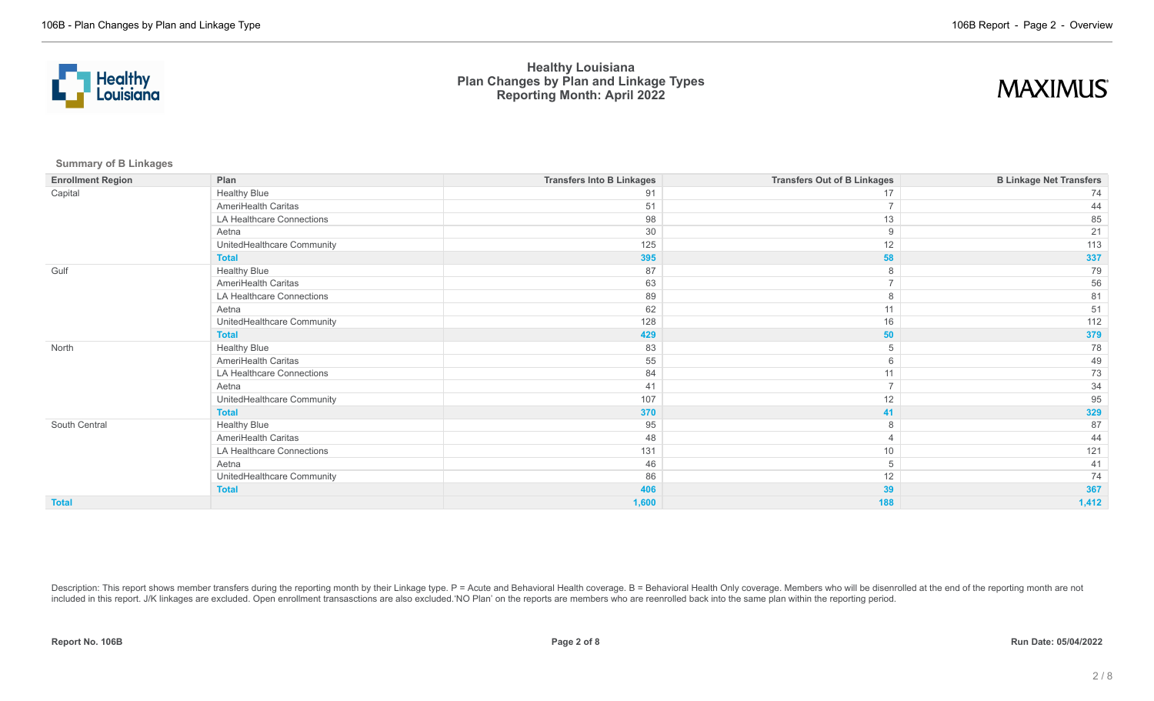



**Summary of B Linkages**

| <b>Enrollment Region</b> | Plan                       | <b>Transfers Into B Linkages</b> | <b>Transfers Out of B Linkages</b> | <b>B Linkage Net Transfers</b> |
|--------------------------|----------------------------|----------------------------------|------------------------------------|--------------------------------|
| Capital                  | <b>Healthy Blue</b>        | 91                               | 17                                 | 74                             |
|                          | AmeriHealth Caritas        | 51                               |                                    | 44                             |
|                          | LA Healthcare Connections  | 98                               | 13                                 | 85                             |
|                          | Aetna                      | 30                               | 9                                  | 21                             |
|                          | UnitedHealthcare Community | 125                              | 12                                 | 113                            |
|                          | <b>Total</b>               | 395                              | 58                                 | 337                            |
| Gulf                     | <b>Healthy Blue</b>        | 87                               | 8                                  | 79                             |
|                          | AmeriHealth Caritas        | 63                               | $\overline{ }$                     | 56                             |
|                          | LA Healthcare Connections  | 89                               | 8                                  | 81                             |
|                          | Aetna                      | 62                               | 11                                 | 51                             |
|                          | UnitedHealthcare Community | 128                              | 16                                 | 112                            |
|                          | <b>Total</b>               | 429                              | 50                                 | 379                            |
| North                    | <b>Healthy Blue</b>        | 83                               | 5                                  | 78                             |
|                          | AmeriHealth Caritas        | 55                               | 6                                  | 49                             |
|                          | LA Healthcare Connections  | 84                               | 11                                 | 73                             |
|                          | Aetna                      | 41                               | $\overline{ }$                     | 34                             |
|                          | UnitedHealthcare Community | 107                              | 12                                 | 95                             |
|                          | <b>Total</b>               | 370                              | 41                                 | 329                            |
| South Central            | <b>Healthy Blue</b>        | 95                               | 8                                  | 87                             |
|                          | AmeriHealth Caritas        | 48                               |                                    | 44                             |
|                          | LA Healthcare Connections  | 131                              | 10                                 | 121                            |
|                          | Aetna                      | 46                               | 5                                  | 41                             |
|                          | UnitedHealthcare Community | 86                               | 12                                 | 74                             |
|                          | <b>Total</b>               | 406                              | 39                                 | 367                            |
| <b>Total</b>             |                            | 1,600                            | 188                                | 1,412                          |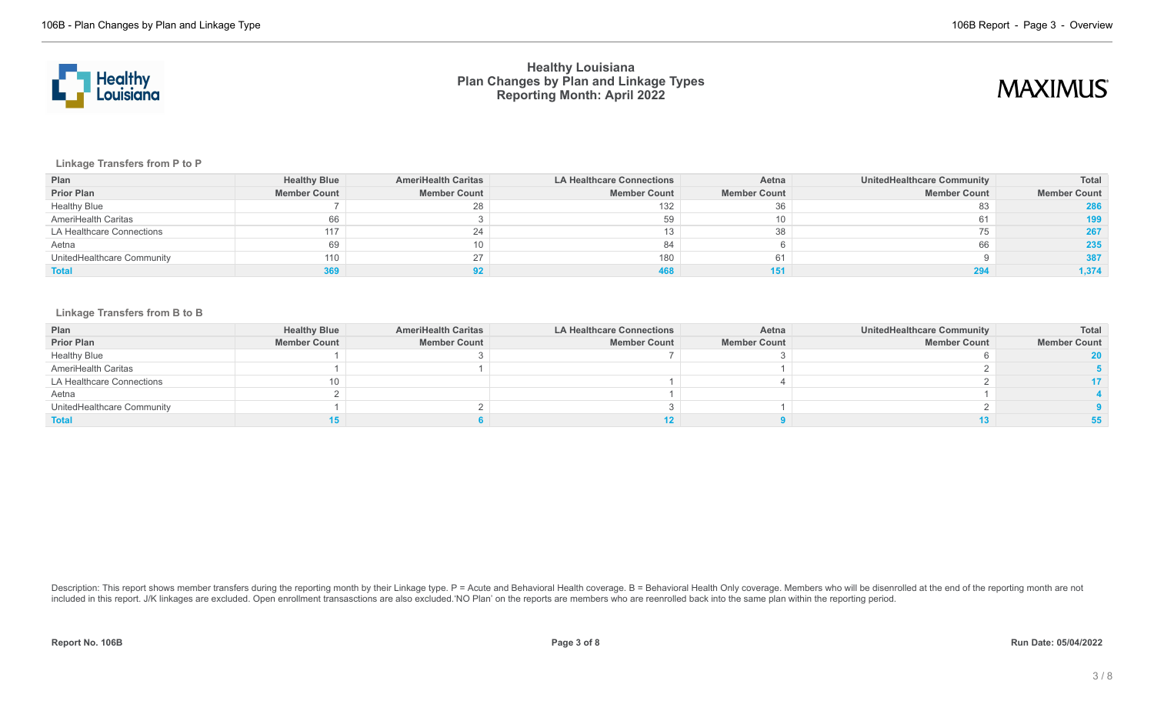



**Linkage Transfers from P to P**

| Plan                       | <b>Healthy Blue</b> | <b>AmeriHealth Caritas</b> | <b>LA Healthcare Connections</b> | Aetna               | UnitedHealthcare Community | Total               |
|----------------------------|---------------------|----------------------------|----------------------------------|---------------------|----------------------------|---------------------|
| <b>Prior Plan</b>          | <b>Member Count</b> | <b>Member Count</b>        | <b>Member Count</b>              | <b>Member Count</b> | <b>Member Count</b>        | <b>Member Count</b> |
| <b>Healthy Blue</b>        |                     | 28                         | 132                              | 36                  |                            | 286                 |
| AmeriHealth Caritas        | 66                  |                            | 59                               |                     |                            | 199                 |
| LA Healthcare Connections  | 117                 | 24                         |                                  |                     |                            | 267                 |
| Aetna                      | 69                  |                            |                                  |                     |                            | 235                 |
| UnitedHealthcare Community | 110                 | 27                         | 180                              | 61                  |                            | 387                 |
| <b>Total</b>               |                     |                            |                                  |                     |                            | 1,374               |

### **Linkage Transfers from B to B**

| Plan                       | <b>Healthy Blue</b> | <b>AmeriHealth Caritas</b> | <b>LA Healthcare Connections</b> | Aetna               | <b>UnitedHealthcare Community</b> | Total               |
|----------------------------|---------------------|----------------------------|----------------------------------|---------------------|-----------------------------------|---------------------|
| <b>Prior Plan</b>          | <b>Member Count</b> | <b>Member Count</b>        | <b>Member Count</b>              | <b>Member Count</b> | <b>Member Count</b>               | <b>Member Count</b> |
| <b>Healthy Blue</b>        |                     |                            |                                  |                     |                                   |                     |
| AmeriHealth Caritas        |                     |                            |                                  |                     |                                   |                     |
| LA Healthcare Connections  | 10                  |                            |                                  |                     |                                   |                     |
| Aetna                      |                     |                            |                                  |                     |                                   |                     |
| UnitedHealthcare Community |                     |                            |                                  |                     |                                   |                     |
| <b>Total</b>               |                     |                            |                                  |                     |                                   |                     |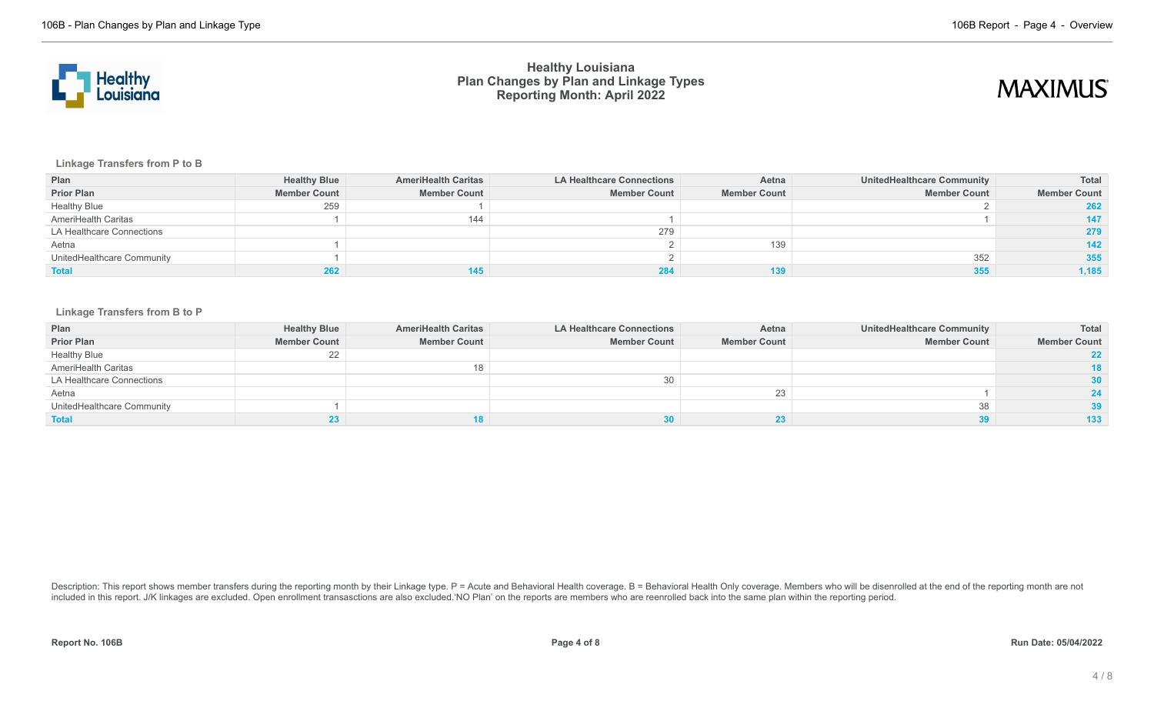



**Linkage Transfers from P to B**

| Plan                       | <b>Healthy Blue</b> | <b>AmeriHealth Caritas</b> | <b>LA Healthcare Connections</b> | Aetna               | UnitedHealthcare Community | Total               |
|----------------------------|---------------------|----------------------------|----------------------------------|---------------------|----------------------------|---------------------|
| <b>Prior Plan</b>          | <b>Member Count</b> | <b>Member Count</b>        | <b>Member Count</b>              | <b>Member Count</b> | <b>Member Count</b>        | <b>Member Count</b> |
| <b>Healthy Blue</b>        | 259                 |                            |                                  |                     |                            | 262                 |
| AmeriHealth Caritas        |                     | 144                        |                                  |                     |                            | 147                 |
| LA Healthcare Connections  |                     |                            | 279                              |                     |                            | 279                 |
| Aetna                      |                     |                            |                                  | 139                 |                            | 142                 |
| UnitedHealthcare Community |                     |                            |                                  |                     | 352                        | 355                 |
| <b>Total</b>               | 262                 |                            |                                  |                     |                            | 1,185               |

### **Linkage Transfers from B to P**

| Plan                       | <b>Healthy Blue</b> | <b>AmeriHealth Caritas</b> | <b>LA Healthcare Connections</b> | Aetna               | <b>UnitedHealthcare Community</b> | <b>Total</b>        |
|----------------------------|---------------------|----------------------------|----------------------------------|---------------------|-----------------------------------|---------------------|
| <b>Prior Plan</b>          | <b>Member Count</b> | <b>Member Count</b>        | <b>Member Count</b>              | <b>Member Count</b> | <b>Member Count</b>               | <b>Member Count</b> |
| <b>Healthy Blue</b>        | 22                  |                            |                                  |                     |                                   |                     |
| AmeriHealth Caritas        |                     | 18                         |                                  |                     |                                   | 18                  |
| LA Healthcare Connections  |                     |                            |                                  |                     |                                   | 30 <sup>°</sup>     |
| Aetna                      |                     |                            |                                  |                     |                                   | 24                  |
| UnitedHealthcare Community |                     |                            |                                  |                     |                                   | 39                  |
| <b>Total</b>               |                     |                            |                                  |                     |                                   | 133                 |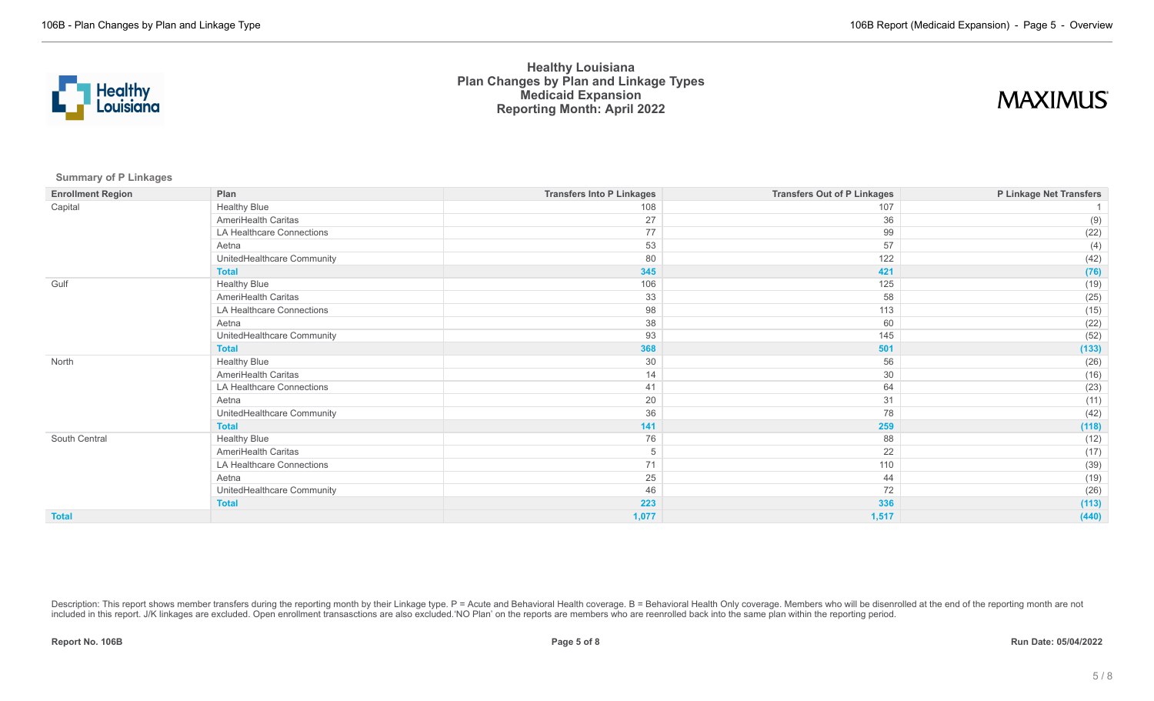

## **MAXIMUS**

**Summary of P Linkages**

| <b>Enrollment Region</b> | Plan                       | <b>Transfers Into P Linkages</b> | <b>Transfers Out of P Linkages</b> | P Linkage Net Transfers |
|--------------------------|----------------------------|----------------------------------|------------------------------------|-------------------------|
| Capital                  | <b>Healthy Blue</b>        | 108                              | 107                                |                         |
|                          | AmeriHealth Caritas        | 27                               | 36                                 | (9)                     |
|                          | LA Healthcare Connections  | 77                               | 99                                 | (22)                    |
|                          | Aetna                      | 53                               | 57                                 | (4)                     |
|                          | UnitedHealthcare Community | 80                               | 122                                | (42)                    |
|                          | <b>Total</b>               | 345                              | 421                                | (76)                    |
| Gulf                     | <b>Healthy Blue</b>        | 106                              | 125                                | (19)                    |
|                          | AmeriHealth Caritas        | 33                               | 58                                 | (25)                    |
|                          | LA Healthcare Connections  | 98                               | 113                                | (15)                    |
|                          | Aetna                      | 38                               | 60                                 | (22)                    |
|                          | UnitedHealthcare Community | 93                               | 145                                | (52)                    |
|                          | <b>Total</b>               | 368                              | 501                                | (133)                   |
| North                    | <b>Healthy Blue</b>        | 30                               | 56                                 | (26)                    |
|                          | AmeriHealth Caritas        | 14                               | 30                                 | (16)                    |
|                          | LA Healthcare Connections  | 41                               | 64                                 | (23)                    |
|                          | Aetna                      | 20                               | 31                                 | (11)                    |
|                          | UnitedHealthcare Community | 36                               | 78                                 | (42)                    |
|                          | <b>Total</b>               | 141                              | 259                                | (118)                   |
| South Central            | <b>Healthy Blue</b>        | 76                               | 88                                 | (12)                    |
|                          | AmeriHealth Caritas        | 5                                | 22                                 | (17)                    |
|                          | LA Healthcare Connections  | 71                               | 110                                | (39)                    |
|                          | Aetna                      | 25                               | 44                                 | (19)                    |
|                          | UnitedHealthcare Community | 46                               | 72                                 | (26)                    |
|                          | <b>Total</b>               | 223                              | 336                                | (113)                   |
| <b>Total</b>             |                            | 1,077                            | 1,517                              | (440)                   |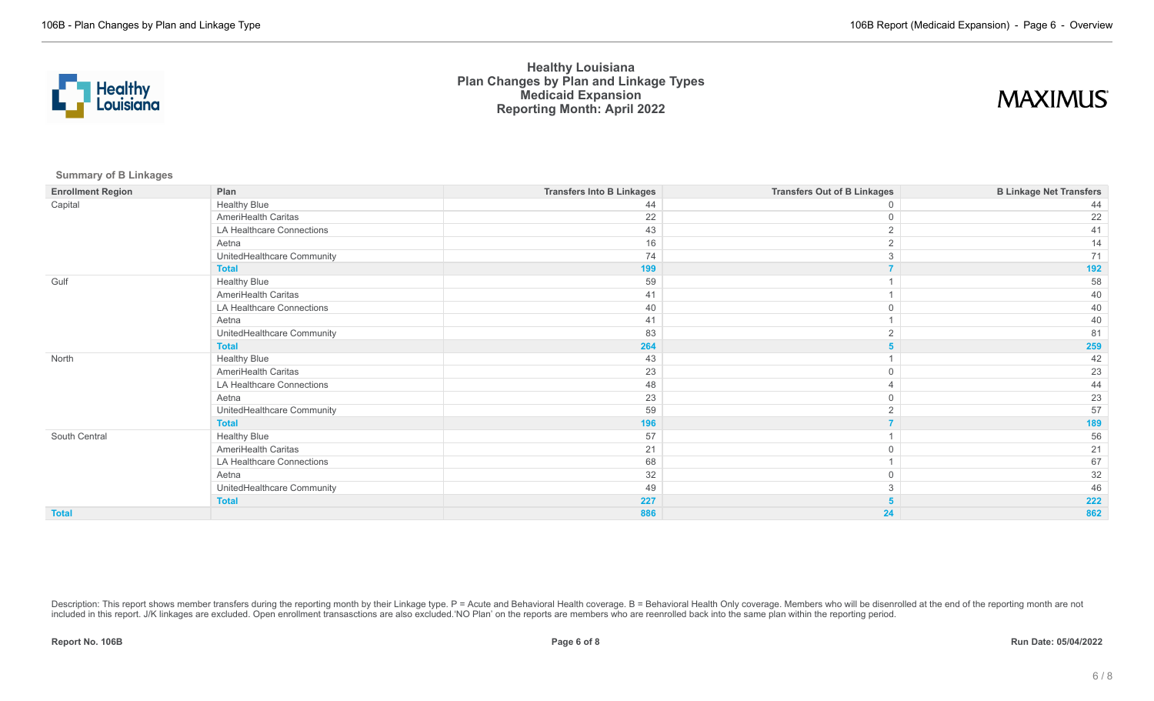

## **MAXIMUS**

**Summary of B Linkages**

| <b>Enrollment Region</b> | Plan                       | <b>Transfers Into B Linkages</b> | <b>Transfers Out of B Linkages</b> | <b>B Linkage Net Transfers</b> |
|--------------------------|----------------------------|----------------------------------|------------------------------------|--------------------------------|
| Capital                  | <b>Healthy Blue</b>        | 44                               |                                    |                                |
|                          | AmeriHealth Caritas        | 22                               | $\Omega$                           | 22                             |
|                          | LA Healthcare Connections  | 43                               |                                    | 41                             |
|                          | Aetna                      | 16                               | ◠                                  | 14                             |
|                          | UnitedHealthcare Community | 74                               |                                    | 71                             |
|                          | <b>Total</b>               | 199                              |                                    | 192                            |
| Gulf                     | <b>Healthy Blue</b>        | 59                               |                                    | 58                             |
|                          | AmeriHealth Caritas        | 41                               |                                    | 40                             |
|                          | LA Healthcare Connections  | 40                               |                                    | 40                             |
|                          | Aetna                      | 41                               |                                    | 40                             |
|                          | UnitedHealthcare Community | 83                               |                                    | 81                             |
|                          | <b>Total</b>               | 264                              |                                    | 259                            |
| North                    | <b>Healthy Blue</b>        | 43                               |                                    | 42                             |
|                          | AmeriHealth Caritas        | 23                               | $\Omega$                           | 23                             |
|                          | LA Healthcare Connections  | 48                               |                                    | 44                             |
|                          | Aetna                      | 23                               |                                    | 23                             |
|                          | UnitedHealthcare Community | 59                               |                                    | 57                             |
|                          | <b>Total</b>               | 196                              |                                    | 189                            |
| South Central            | <b>Healthy Blue</b>        | 57                               |                                    | 56                             |
|                          | AmeriHealth Caritas        | 21                               | $\Omega$                           | 21                             |
|                          | LA Healthcare Connections  | 68                               |                                    | 67                             |
|                          | Aetna                      | 32                               |                                    | 32                             |
|                          | UnitedHealthcare Community | 49                               | 3                                  | 46                             |
|                          | <b>Total</b>               | 227                              |                                    | 222                            |
| <b>Total</b>             |                            | 886                              | 24                                 | 862                            |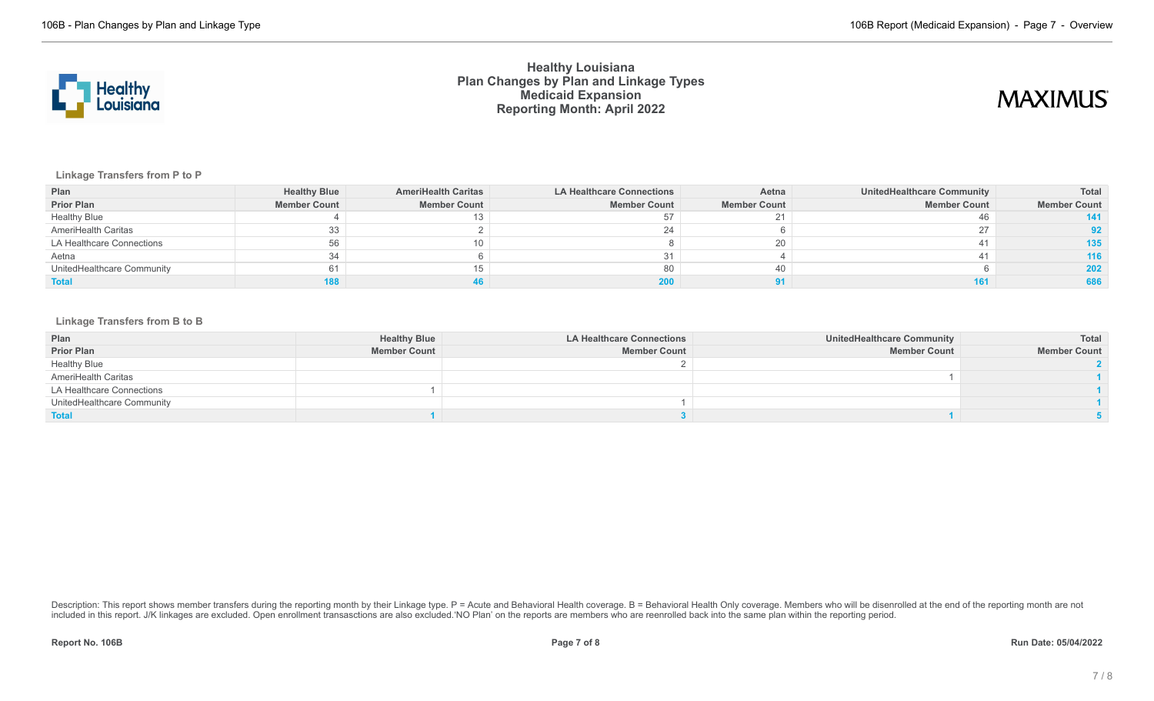

## **MAXIMUS**

### **Linkage Transfers from P to P**

| Plan                       | <b>Healthy Blue</b> | <b>AmeriHealth Caritas</b> | <b>LA Healthcare Connections</b> | Aetna               | UnitedHealthcare Community | Total               |
|----------------------------|---------------------|----------------------------|----------------------------------|---------------------|----------------------------|---------------------|
| <b>Prior Plan</b>          | <b>Member Count</b> | <b>Member Count</b>        | <b>Member Count</b>              | <b>Member Count</b> | <b>Member Count</b>        | <b>Member Count</b> |
| <b>Healthy Blue</b>        |                     |                            |                                  |                     |                            |                     |
| AmeriHealth Caritas        | 33                  |                            |                                  |                     |                            |                     |
| LA Healthcare Connections  | 56                  | 10                         |                                  |                     |                            | 135 <sub>1</sub>    |
| Aetna                      | 34                  |                            |                                  |                     |                            | 116                 |
| UnitedHealthcare Community | 61                  | 15                         | 80                               |                     |                            | 202                 |
| <b>Total</b>               |                     |                            |                                  |                     |                            | 686                 |

### **Linkage Transfers from B to B**

| Plan                       | <b>Healthy Blue</b> | <b>LA Healthcare Connections</b> | <b>UnitedHealthcare Community</b> | Total               |
|----------------------------|---------------------|----------------------------------|-----------------------------------|---------------------|
| <b>Prior Plan</b>          | <b>Member Count</b> | <b>Member Count</b>              | <b>Member Count</b>               | <b>Member Count</b> |
| <b>Healthy Blue</b>        |                     |                                  |                                   |                     |
| AmeriHealth Caritas        |                     |                                  |                                   |                     |
| LA Healthcare Connections  |                     |                                  |                                   |                     |
| UnitedHealthcare Community |                     |                                  |                                   |                     |
| <b>Total</b>               |                     |                                  |                                   |                     |